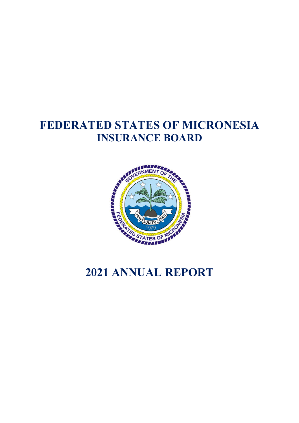# **FEDERATED STATES OF MICRONESIA INSURANCE BOARD**



# **2021 ANNUAL REPORT**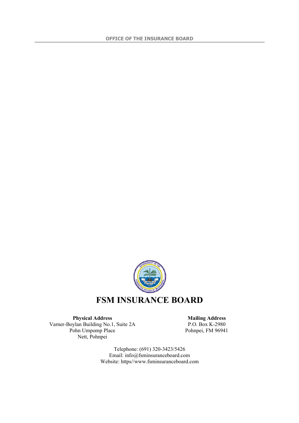

**Physical Address Mailing Address** Varner-Boylan Building No.1, Suite 2A Pohn Umpomp Place Nett, Pohnpei

P.O. Box K-2980 Pohnpei, FM 96941

Telephone: (691) 320-3423/5426 Email: info@fsminsuranceboard.com Website: https//www.fsminsuranceboard.com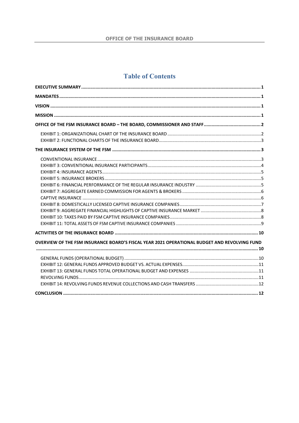## **Table of Contents**

| OVERVIEW OF THE FSM INSURANCE BOARD'S FISCAL YEAR 2021 OPERATIONAL BUDGET AND REVOLVING FUND |  |
|----------------------------------------------------------------------------------------------|--|
|                                                                                              |  |
|                                                                                              |  |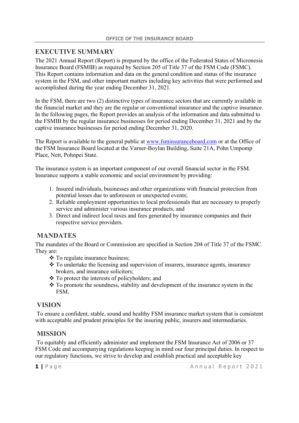## **EXECUTIVE SUMMARY**

The 2021 Annual Report (Report) is prepared by the office of the Federated States of Micronesia Insurance Board (FSMIB) as required by Section 205 of Title 37 of the FSM Code (FSMC). This Report contains information and data on the general condition and status of the insurance system in the FSM, and other important matters including key activities that were performed and accomplished during the year ending December 31, 2021.

In the FSM, there are two (2) distinctive types of insurance sectors that are currently available in the financial market and they are the regular or conventional insurance and the captive insurance. In the following pages, the Report provides an analysis of the information and data submitted to the FSMIB by the regular insurance businesses for period ending December 31, 2021 and by the captive insurance businesses for period ending December 31, 2020.

The Report is available to the general public at www.fsminsuranceboard.com or at the Office of the FSM Insurance Board located at the Varner-Boylan Building, Suite 21A, Pohn Umpomp Place, Nett, Pohnpei State.

The insurance system is an important component of our overall financial sector in the FSM. Insurance supports a stable economic and social environment by providing:

- 1. Insured individuals, businesses and other organizations with financial protection from potential losses due to unforeseen or unexpected events;
- 2. Reliable employment opportunities to local professionals that are necessary to properly service and administer various insurance products, and
- 3. Direct and indirect local taxes and fees generated by insurance companies and their respective service providers.

## **MANDATES**

The mandates of the Board or Commission are specified in Section 204 of Title 37 of the FSMC. They are:

- **❖** To regulate insurance business;
- To undertake the licensing and supervision of insurers, insurance agents, insurance brokers, and insurance solicitors;
- To protect the interests of policyholders; and
- \* To promote the soundness, stability and development of the insurance system in the FSM.

### **VISION**

To ensure a confident, stable, sound and healthy FSM insurance market system that is consistent with acceptable and prudent principles for the insuring public, insurers and intermediaries.

## **MISSION**

To equitably and efficiently administer and implement the FSM Insurance Act of 2006 or 37 FSM Code and accompanying regulations keeping in mind our four principal duties. In respect to our regulatory functions, we strive to develop and establish practical and acceptable key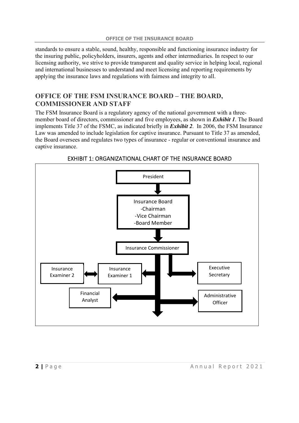standards to ensure a stable, sound, healthy, responsible and functioning insurance industry for the insuring public, policyholders, insurers, agents and other intermediaries. In respect to our licensing authority, we strive to provide transparent and quality service in helping local, regional and international businesses to understand and meet licensing and reporting requirements by applying the insurance laws and regulations with fairness and integrity to all.

## **OFFICE OF THE FSM INSURANCE BOARD – THE BOARD, COMMISSIONER AND STAFF**

The FSM Insurance Board is a regulatory agency of the national government with a threemember board of directors, commissioner and five employees, as shown in *Exhibit 1*. The Board implements Title 37 of the FSMC, as indicated briefly in *Exhibit 2*. In 2006, the FSM Insurance Law was amended to include legislation for captive insurance. Pursuant to Title 37 as amended, the Board oversees and regulates two types of insurance - regular or conventional insurance and captive insurance.



EXHIBIT 1: ORGANIZATIONAL CHART OF THE INSURANCE BOARD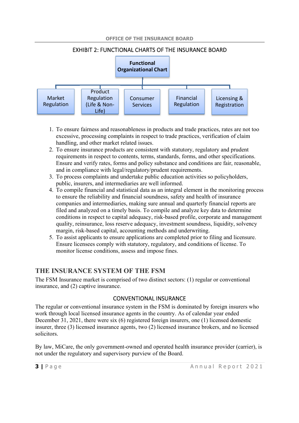

EXHIBIT 2: FUNCTIONAL CHARTS OF THE INSURANCE BOARD

- 1. To ensure fairness and reasonableness in products and trade practices, rates are not too excessive, processing complaints in respect to trade practices, verification of claim handling, and other market related issues.
- 2. To ensure insurance products are consistent with statutory, regulatory and prudent requirements in respect to contents, terms, standards, forms, and other specifications. Ensure and verify rates, forms and policy substance and conditions are fair, reasonable, and in compliance with legal/regulatory/prudent requirements.
- 3. To process complaints and undertake public education activities so policyholders, public, insurers, and intermediaries are well informed.
- 4. To compile financial and statistical data as an integral element in the monitoring process to ensure the reliability and financial soundness, safety and health of insurance companies and intermediaries, making sure annual and quarterly financial reports are filed and analyzed on a timely basis. To compile and analyze key data to determine conditions in respect to capital adequacy, risk-based profile, corporate and management quality, reinsurance, loss reserve adequacy, investment soundness, liquidity, solvency margin, risk-based capital, accounting methods and underwriting.
- 5. To assist applicants to ensure applications are completed prior to filing and licensure. Ensure licensees comply with statutory, regulatory, and conditions of license. To monitor license conditions, assess and impose fines.

## **THE INSURANCE SYSTEM OF THE FSM**

The FSM Insurance market is comprised of two distinct sectors: (1) regular or conventional insurance, and (2) captive insurance.

### CONVENTIONAL INSURANCE

The regular or conventional insurance system in the FSM is dominated by foreign insurers who work through local licensed insurance agents in the country. As of calendar year ended December 31, 2021, there were six (6) registered foreign insurers, one (1) licensed domestic insurer, three (3) licensed insurance agents, two (2) licensed insurance brokers, and no licensed solicitors.

By law, MiCare, the only government-owned and operated health insurance provider (carrier), is not under the regulatory and supervisory purview of the Board.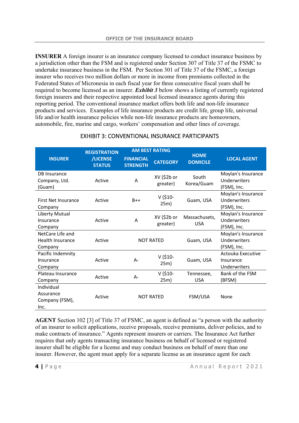**INSURER** A foreign insurer is an insurance company licensed to conduct insurance business by a jurisdiction other than the FSM and is registered under Section 307 of Title 37 of the FSMC to undertake insurance business in the FSM. Per Section 301 of Title 37 of the FSMC, a foreign insurer who receives two million dollars or more in income from premiums collected in the Federated States of Micronesia in each fiscal year for three consecutive fiscal years shall be required to become licensed as an insurer. *Exhibit 3* below shows a listing of currently registered foreign insurers and their respective appointed local licensed insurance agents during this reporting period. The conventional insurance market offers both life and non-life insurance products and services. Examples of life insurance products are credit life, group life, universal life and/or health insurance policies while non-life insurance products are homeowners, automobile, fire, marine and cargo, workers' compensation and other lines of coverage.

|                                                        | <b>REGISTRATION</b>       | <b>AM BEST RATING</b>               |                         |                                |                                                   |  |
|--------------------------------------------------------|---------------------------|-------------------------------------|-------------------------|--------------------------------|---------------------------------------------------|--|
| <b>INSURER</b>                                         | /LICENSE<br><b>STATUS</b> | <b>FINANCIAL</b><br><b>STRENGTH</b> | <b>CATEGORY</b>         | <b>HOME</b><br><b>DOMICILE</b> | <b>LOCAL AGENT</b>                                |  |
| <b>DB</b> Insurance<br>Company, Ltd.<br>(Guam)         | Active                    | A                                   | XV (\$2b or<br>greater) | South<br>Korea/Guam            | Moylan's Insurance<br>Underwriters<br>(FSM), Inc. |  |
| First Net Insurance<br>Company                         | Active                    | $B++$                               | $V$ (\$10-<br>25m)      | Guam, USA                      | Moylan's Insurance<br>Underwriters<br>(FSM), Inc. |  |
| Liberty Mutual<br>Insurance<br>Company                 | Active                    | A                                   | XV (\$2b or<br>greater) | Massachusets,<br><b>USA</b>    | Moylan's Insurance<br>Underwriters<br>(FSM), Inc. |  |
| NetCare Life and<br><b>Health Insurance</b><br>Company | Active                    |                                     | <b>NOT RATED</b>        | Guam, USA                      | Moylan's Insurance<br>Underwriters<br>(FSM), Inc. |  |
| Pacific Indemnity<br>Insurance<br>Company              | Active                    | $A -$                               | $V$ (\$10-<br>25m)      | Guam, USA                      | Actouka Executive<br>Insurance<br>Underwriters    |  |
| Plateau Insurance<br>Company                           | Active                    | $A -$                               | $V$ (\$10-<br>25m)      | Tennessee,<br><b>USA</b>       | Bank of the FSM<br>(BFSM)                         |  |
| Individual<br>Assurance<br>Company (FSM),<br>Inc.      | Active                    |                                     | <b>NOT RATED</b>        | FSM/USA                        | None                                              |  |

#### EXHIBIT 3: CONVENTIONAL INSURANCE PARTICIPANTS

**AGENT** Section 102 [3] of Title 37 of FSMC, an agent is defined as "a person with the authority of an insurer to solicit applications, receive proposals, receive premiums, deliver policies, and to make contracts of insurance." Agents represent insurers or carriers. The Insurance Act further requires that only agents transacting insurance business on behalf of licensed or registered insurer shall be eligible for a license and may conduct business on behalf of more than one insurer. However, the agent must apply for a separate license as an insurance agent for each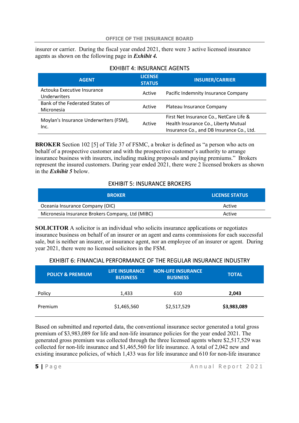insurer or carrier. During the fiscal year ended 2021, there were 3 active licensed insurance agents as shown on the following page in *Exhibit 4.*

| <b>EAFIIDIT 4. INSURANCE AGENTS</b>                |                                 |                                                                                                                              |  |  |
|----------------------------------------------------|---------------------------------|------------------------------------------------------------------------------------------------------------------------------|--|--|
| <b>AGENT</b>                                       | <b>LICENSE</b><br><b>STATUS</b> | <b>INSURER/CARRIER</b>                                                                                                       |  |  |
| Actouka Executive Insurance<br><b>Underwriters</b> | Active                          | Pacific Indemnity Insurance Company                                                                                          |  |  |
| Bank of the Federated States of<br>Micronesia      | Active                          | Plateau Insurance Company                                                                                                    |  |  |
| Moylan's Insurance Underwriters (FSM),<br>Inc.     | Active                          | First Net Insurance Co., NetCare Life &<br>Health Insurance Co., Liberty Mutual<br>Insurance Co., and DB Insurance Co., Ltd. |  |  |

#### EXHIBIT 4: INSURANCE AGENTS

**BROKER** Section 102 [5] of Title 37 of FSMC, a broker is defined as "a person who acts on behalf of a prospective customer and with the prospective customer's authority to arrange insurance business with insurers, including making proposals and paying premiums." Brokers represent the insured customers. During year ended 2021, there were 2 licensed brokers as shown in the *Exhibit 5* below.

#### EXHIBIT 5: INSURANCE BROKERS

| <b>BROKER</b>                                    | <b>LICENSE STATUS</b> |
|--------------------------------------------------|-----------------------|
| Oceania Insurance Company (OIC)                  | Active                |
| Micronesia Insurance Brokers Company, Ltd (MIBC) | Active                |

**SOLICITOR** A solicitor is an individual who solicits insurance applications or negotiates insurance business on behalf of an insurer or an agent and earns commissions for each successful sale, but is neither an insurer, or insurance agent, nor an employee of an insurer or agent. During year 2021, there were no licensed solicitors in the FSM.

#### EXHIBIT 6: FINANCIAL PERFORMANCE OF THE REGULAR INSURANCE INDUSTRY

| <b>POLICY &amp; PREMIUM</b> | <b>LIFE INSURANCE</b><br><b>BUSINESS</b> | <b>NON-LIFE INSURANCE</b><br><b>BUSINESS</b> | <b>TOTAL</b> |
|-----------------------------|------------------------------------------|----------------------------------------------|--------------|
| Policy                      | 1,433                                    | 610                                          | 2,043        |
| Premium                     | \$1,465,560                              | \$2,517,529                                  | \$3,983,089  |

Based on submitted and reported data, the conventional insurance sector generated a total gross premium of \$3,983,089 for life and non-life insurance policies for the year ended 2021. The generated gross premium was collected through the three licensed agents where \$2,517,529 was collected for non-life insurance and \$1,465,560 for life insurance. A total of 2,042 new and existing insurance policies, of which 1,433 was for life insurance and 610 for non-life insurance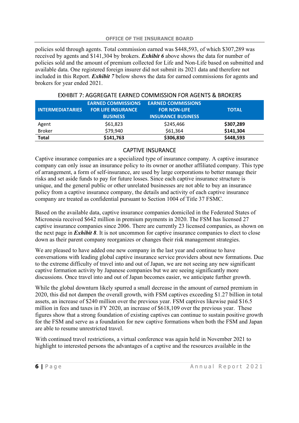policies sold through agents. Total commission earned was \$448,593, of which \$307,289 was received by agents and \$141,304 by brokers. *Exhibit 6* above shows the data for number of policies sold and the amount of premium collected for Life and Non-Life based on submitted and available data. One registered foreign insurer did not submit its 2021 data and therefore not included in this Report. *Exhibit 7* below shows the data for earned commissions for agents and brokers for year ended 2021.

| <b>INTERMEDIATARIES</b> | <b>EARNED COMMISSIONS</b><br><b>FOR LIFE INSURANCE</b><br><b>BUSINESS</b> | <b>EARNED COMMISSIONS</b><br><b>FOR NON-LIFE</b><br><b>INSURANCE BUSINESS</b> | <b>TOTAL</b> |
|-------------------------|---------------------------------------------------------------------------|-------------------------------------------------------------------------------|--------------|
| Agent                   | \$61,823                                                                  | \$245,466                                                                     | \$307,289    |
| <b>Broker</b>           | \$79,940                                                                  | \$61,364                                                                      | \$141,304    |
| <b>Total</b>            | \$141,763                                                                 | \$306,830                                                                     | \$448,593    |

#### EXHIBIT 7: AGGREGATE EARNED COMMISSION FOR AGENTS & BROKERS

#### CAPTIVE INSURANCE

Captive insurance companies are a specialized type of insurance company. A captive insurance company can only issue an insurance policy to its owner or another affiliated company. This type of arrangement, a form of self-insurance, are used by large corporations to better manage their risks and set aside funds to pay for future losses. Since each captive insurance structure is unique, and the general public or other unrelated businesses are not able to buy an insurance policy from a captive insurance company, the details and activity of each captive insurance company are treated as confidential pursuant to Section 1004 of Title 37 FSMC.

Based on the available data, captive insurance companies domiciled in the Federated States of Micronesia received \$642 million in premium payments in 2020. The FSM has licensed 27 captive insurance companies since 2006. There are currently 23 licensed companies, as shown on the next page in *Exhibit 8*. It is not uncommon for captive insurance companies to elect to close down as their parent company reorganizes or changes their risk management strategies.

We are pleased to have added one new company in the last year and continue to have conversations with leading global captive insurance service providers about new formations. Due to the extreme difficulty of travel into and out of Japan, we are not seeing any new significant captive formation activity by Japanese companies but we are seeing significantly more discussions. Once travel into and out of Japan becomes easier, we anticipate further growth.

While the global downturn likely spurred a small decrease in the amount of earned premium in 2020, this did not dampen the overall growth, with FSM captives exceeding \$1.27 billion in total assets, an increase of \$240 million over the previous year. FSM captives likewise paid \$16.5 million in fees and taxes in FY 2020, an increase of \$618,109 over the previous year. These figures show that a strong foundation of existing captives can continue to sustain positive growth for the FSM and serve as a foundation for new captive formations when both the FSM and Japan are able to resume unrestricted travel.

With continued travel restrictions, a virtual conference was again held in November 2021 to highlight to interested persons the advantages of a captive and the resources available in the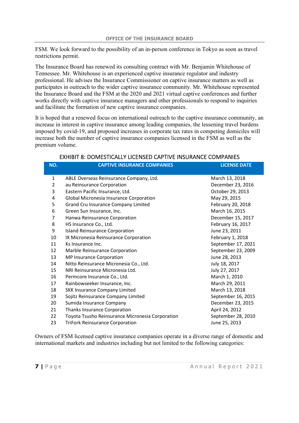FSM. We look forward to the possibility of an in-person conference in Tokyo as soon as travel restrictions permit.

The Insurance Board has renewed its consulting contract with Mr. Benjamin Whitehouse of Tennessee. Mr. Whitehouse is an experienced captive insurance regulator and industry professional. He advises the Insurance Commissioner on captive insurance matters as well as participates in outreach to the wider captive insurance community. Mr. Whitehouse represented the Insurance Board and the FSM at the 2020 and 2021 virtual captive conferences and further works directly with captive insurance managers and other professionals to respond to inquiries and facilitate the formation of new captive insurance companies.

It is hoped that a renewed focus on international outreach to the captive insurance community, an increase in interest in captive insurance among leading companies, the lessening travel burdens imposed by covid-19, and proposed increases in corporate tax rates in competing domiciles will increase both the number of captive insurance companies licensed in the FSM as well as the premium volume.

| NO.          | <b>CAPTIVE INSURANCE COMPANIES</b>               | <b>LICENSE DATE</b> |
|--------------|--------------------------------------------------|---------------------|
| $\mathbf{1}$ | ABLE Overseas Reinsurance Company, Ltd.          | March 13, 2018      |
| 2            | au Reinsurance Corporation                       | December 23, 2016   |
| 3            | Eastern Pacific Insurance, Ltd.                  | October 29, 2013    |
| 4            | Global Micronesia Insurance Corporation          | May 29, 2015        |
| 5            | Grand Cru Insurance Company Limited              | February 20, 2018   |
| 6            | Green Sun Insurance, Inc.                        | March 16, 2015      |
| 7            | Hanwa Reinsurance Corporation                    | December 15, 2017   |
| 8            | HS Insurance Co., Ltd.                           | February 16, 2017   |
| 9            | <b>Island Reinsurance Corporation</b>            | June 23, 2011       |
| 10           | IX Micronesia Reinsurance Corporation            | February 1, 2018    |
| 11           | Ks Insurance Inc.                                | September 17, 2021  |
| 12           | Marble Reinsurance Corporation                   | September 23, 2009  |
| 13           | MP Insurance Corporation                         | June 28, 2013       |
| 14           | Nitto Reinsurance Micronesia Co., Ltd.           | July 18, 2017       |
| 15           | NRI Reinsurance Micronesia Ltd.                  | July 27, 2017       |
| 16           | Permcore Insurance Co., Ltd.                     | March 1, 2010       |
| 17           | Rainbowseeker Insurance, Inc.                    | March 29, 2011      |
| 18           | <b>SKK Insurance Company Limited</b>             | March 13, 2018      |
| 19           | Sojitz Reinsurance Company Limited               | September 16, 2015  |
| 20           | Sumida Insurance Company                         | December 23, 2015   |
| 21           | Thanks Insurance Corporation                     | April 24, 2012      |
| 22           | Toyota Tsusho Reinsurance Micronesia Corporation | September 28, 2010  |
| 23           | <b>TriFork Reinsurance Corporation</b>           | June 25, 2013       |

#### EXHIBIT 8: DOMESTICALLY LICENSED CAPTIVE INSURANCE COMPANIES

Owners of FSM licensed captive insurance companies operate in a diverse range of domestic and international markets and industries including but not limited to the following categories: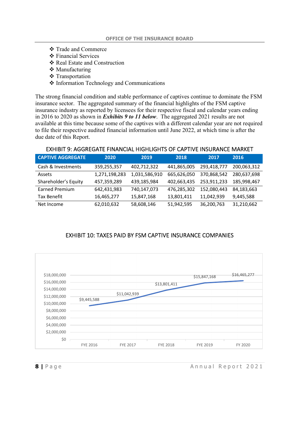- Trade and Commerce
- **❖** Financial Services
- Real Estate and Construction
- ❖ Manufacturing
- **❖** Transportation
- ❖ Information Technology and Communications

The strong financial condition and stable performance of captives continue to dominate the FSM insurance sector. The aggregated summary of the financial highlights of the FSM captive insurance industry as reported by licensees for their respective fiscal and calendar years ending in 2016 to 2020 as shown in *Exhibits 9 to 11 below*. The aggregated 2021 results are not available at this time because some of the captives with a different calendar year are not required to file their respective audited financial information until June 2022, at which time is after the due date of this Report.

#### EXHIBIT 9: AGGREGATE FINANCIAL HIGHLIGHTS OF CAPTIVE INSURANCE MARKET

| <b>CAPTIVE AGGREGATE</b> | 2020          | 2019          | 2018        | 2017        | 2016        |
|--------------------------|---------------|---------------|-------------|-------------|-------------|
| Cash & Investments       | 359,255,357   | 402,712,322   | 441,865,005 | 293,418,777 | 200,063,312 |
| Assets                   | 1,271,198,283 | 1,031,586,910 | 665,626,050 | 370,868,542 | 280,637,698 |
| Shareholder's Equity     | 457,359,289   | 439,185,984   | 402,663,435 | 253,911,233 | 185,998,467 |
| Earned Premium           | 642,431,983   | 740,147,073   | 476,285,302 | 152,080,443 | 84,183,663  |
| Tax Benefit              | 16,465,277    | 15,847,168    | 13,801,411  | 11,042,939  | 9,445,588   |
| Net Income               | 62,010,632    | 58,608,146    | 51,942,595  | 36,200,763  | 31,210,662  |

#### EXHIBIT 10: TAXES PAID BY FSM CAPTIVE INSURANCE COMPANIES

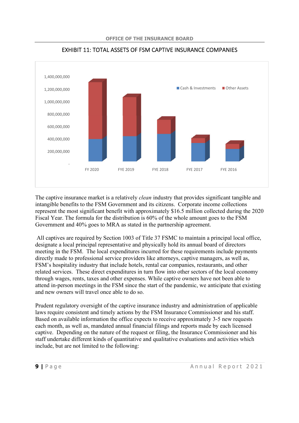

EXHIBIT 11: TOTAL ASSETS OF FSM CAPTIVE INSURANCE COMPANIES

The captive insurance market is a relatively *clean* industry that provides significant tangible and intangible benefits to the FSM Government and its citizens. Corporate income collections represent the most significant benefit with approximately \$16.5 million collected during the 2020 Fiscal Year. The formula for the distribution is 60% of the whole amount goes to the FSM Government and 40% goes to MRA as stated in the partnership agreement.

All captives are required by Section 1003 of Title 37 FSMC to maintain a principal local office, designate a local principal representative and physically hold its annual board of directors meeting in the FSM. The local expenditures incurred for these requirements include payments directly made to professional service providers like attorneys, captive managers, as well as, FSM's hospitality industry that include hotels, rental car companies, restaurants, and other related services. These direct expenditures in turn flow into other sectors of the local economy through wages, rents, taxes and other expenses. While captive owners have not been able to attend in-person meetings in the FSM since the start of the pandemic, we anticipate that existing and new owners will travel once able to do so.

Prudent regulatory oversight of the captive insurance industry and administration of applicable laws require consistent and timely actions by the FSM Insurance Commissioner and his staff. Based on available information the office expects to receive approximately 3-5 new requests each month, as well as, mandated annual financial filings and reports made by each licensed captive. Depending on the nature of the request or filing, the Insurance Commissioner and his staff undertake different kinds of quantitative and qualitative evaluations and activities which include, but are not limited to the following: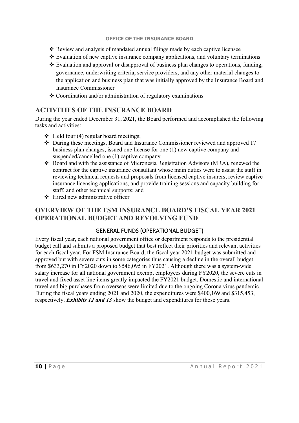- $\div$  Review and analysis of mandated annual filings made by each captive licensee
- $\triangle$  Evaluation of new captive insurance company applications, and voluntary terminations
- $\cdot$  Evaluation and approval or disapproval of business plan changes to operations, funding, governance, underwriting criteria, service providers, and any other material changes to the application and business plan that was initially approved by the Insurance Board and Insurance Commissioner
- Coordination and/or administration of regulatory examinations

## **ACTIVITIES OF THE INSURANCE BOARD**

During the year ended December 31, 2021, the Board performed and accomplished the following tasks and activities:

- $\triangleleft$  Held four (4) regular board meetings;
- During these meetings, Board and Insurance Commissioner reviewed and approved 17 business plan changes, issued one license for one (1) new captive company and suspended/cancelled one (1) captive company
- Board and with the assistance of Micronesia Registration Advisors (MRA), renewed the contract for the captive insurance consultant whose main duties were to assist the staff in reviewing technical requests and proposals from licensed captive insurers, review captive insurance licensing applications, and provide training sessions and capacity building for staff, and other technical supports; and
- $\div$  Hired new administrative officer

## **OVERVIEW OF THE FSM INSURANCE BOARD'S FISCAL YEAR 2021 OPERATIONAL BUDGET AND REVOLVING FUND**

#### GENERAL FUNDS (OPERATIONAL BUDGET)

Every fiscal year, each national government office or department responds to the presidential budget call and submits a proposed budget that best reflect their priorities and relevant activities for each fiscal year. For FSM Insurance Board, the fiscal year 2021 budget was submitted and approved but with severe cuts in some categories thus causing a decline in the overall budget from \$633,270 in FY2020 down to \$546,095 in FY2021. Although there was a system-wide salary increase for all national government exempt employees during FY2020, the severe cuts in travel and fixed asset line items greatly impacted the FY2021 budget. Domestic and international travel and big purchases from overseas were limited due to the ongoing Corona virus pandemic. During the fiscal years ending 2021 and 2020, the expenditures were \$400,169 and \$315,453, respectively. *Exhibits 12 and 13* show the budget and expenditures for those years.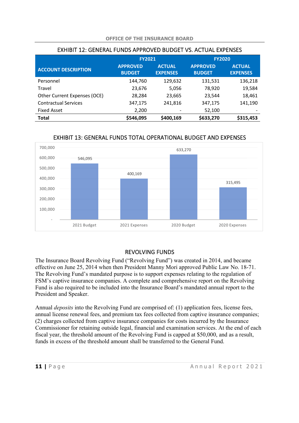|                              | <b>FY2021</b>                    |                                  | <b>FY2020</b>                    |                                  |  |
|------------------------------|----------------------------------|----------------------------------|----------------------------------|----------------------------------|--|
| <b>ACCOUNT DESCRIPTION</b>   | <b>APPROVED</b><br><b>BUDGET</b> | <b>ACTUAL</b><br><b>EXPENSES</b> | <b>APPROVED</b><br><b>BUDGET</b> | <b>ACTUAL</b><br><b>EXPENSES</b> |  |
| Personnel                    | 144,760                          | 129,632                          | 131,531                          | 136,218                          |  |
| Travel                       | 23,676                           | 5,056                            | 78,920                           | 19,584                           |  |
| Other Current Expenses (OCE) | 28,284                           | 23,665                           | 23,544                           | 18,461                           |  |
| <b>Contractual Services</b>  | 347,175                          | 241,816                          | 347,175                          | 141,190                          |  |
| <b>Fixed Asset</b>           | 2,200                            |                                  | 52,100                           |                                  |  |
| <b>Total</b>                 | \$546,095                        | \$400,169                        | \$633,270                        | \$315,453                        |  |

#### **OFFICE OF THE INSURANCE BOARD**

EXHIBIT 12: GENERAL FUNDS APPROVED BUDGET VS. ACTUAL EXPENSES

## EXHIBIT 13: GENERAL FUNDS TOTAL OPERATIONAL BUDGET AND EXPENSES



#### REVOLVING FUNDS

The Insurance Board Revolving Fund ("Revolving Fund") was created in 2014, and became effective on June 25, 2014 when then President Manny Mori approved Public Law No. 18-71. The Revolving Fund's mandated purpose is to support expenses relating to the regulation of FSM's captive insurance companies. A complete and comprehensive report on the Revolving Fund is also required to be included into the Insurance Board's mandated annual report to the President and Speaker.

Annual *deposits* into the Revolving Fund are comprised of: (1) application fees, license fees, annual license renewal fees, and premium tax fees collected from captive insurance companies; (2) charges collected from captive insurance companies for costs incurred by the Insurance Commissioner for retaining outside legal, financial and examination services. At the end of each fiscal year, the threshold amount of the Revolving Fund is capped at \$50,000, and as a result, funds in excess of the threshold amount shall be transferred to the General Fund.